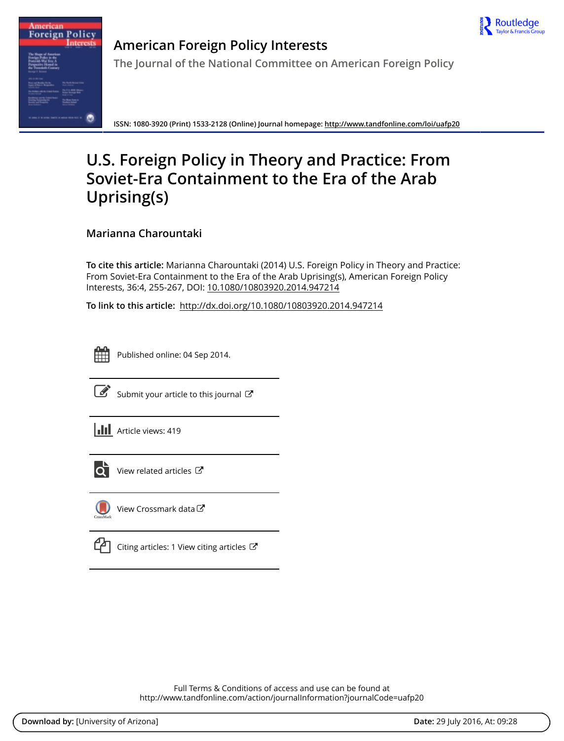



# **American Foreign Policy Interests**

**The Journal of the National Committee on American Foreign Policy**

**ISSN: 1080-3920 (Print) 1533-2128 (Online) Journal homepage:<http://www.tandfonline.com/loi/uafp20>**

# **U.S. Foreign Policy in Theory and Practice: From Soviet-Era Containment to the Era of the Arab Uprising(s)**

**Marianna Charountaki**

**To cite this article:** Marianna Charountaki (2014) U.S. Foreign Policy in Theory and Practice: From Soviet-Era Containment to the Era of the Arab Uprising(s), American Foreign Policy Interests, 36:4, 255-267, DOI: [10.1080/10803920.2014.947214](http://www.tandfonline.com/action/showCitFormats?doi=10.1080/10803920.2014.947214)

**To link to this article:** <http://dx.doi.org/10.1080/10803920.2014.947214>



Published online: 04 Sep 2014.



 $\overline{\mathscr{L}}$  [Submit your article to this journal](http://www.tandfonline.com/action/authorSubmission?journalCode=uafp20&page=instructions)  $\mathbb{F}$ 





 $\overline{\mathbf{C}}$  [View related articles](http://www.tandfonline.com/doi/mlt/10.1080/10803920.2014.947214)  $\mathbf{C}$ 



[View Crossmark data](http://crossmark.crossref.org/dialog/?doi=10.1080/10803920.2014.947214&domain=pdf&date_stamp=2014-09-04)  $\sigma$ 

[Citing articles: 1 View citing articles](http://www.tandfonline.com/doi/citedby/10.1080/10803920.2014.947214#tabModule)  $\mathbb{Z}$ 

Full Terms & Conditions of access and use can be found at <http://www.tandfonline.com/action/journalInformation?journalCode=uafp20>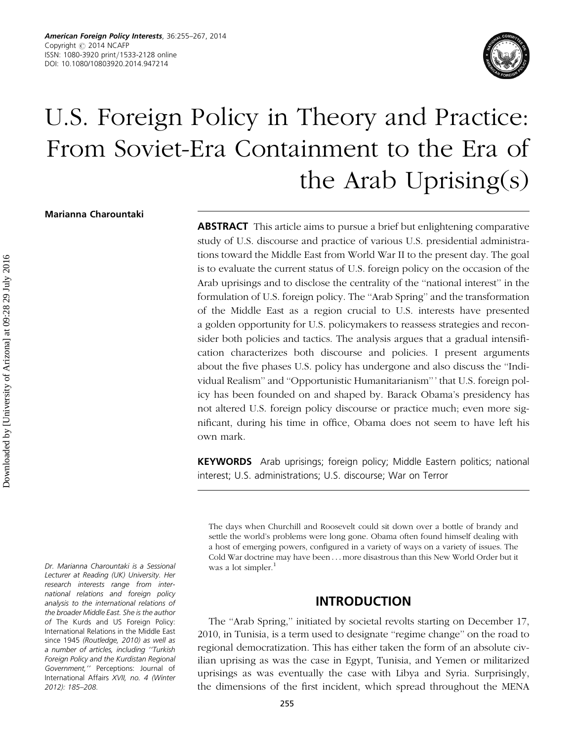

# U.S. Foreign Policy in Theory and Practice: From Soviet-Era Containment to the Era of the Arab Uprising(s)

#### Marianna Charountaki

**ABSTRACT** This article aims to pursue a brief but enlightening comparative study of U.S. discourse and practice of various U.S. presidential administrations toward the Middle East from World War II to the present day. The goal is to evaluate the current status of U.S. foreign policy on the occasion of the Arab uprisings and to disclose the centrality of the ''national interest'' in the formulation of U.S. foreign policy. The ''Arab Spring'' and the transformation of the Middle East as a region crucial to U.S. interests have presented a golden opportunity for U.S. policymakers to reassess strategies and reconsider both policies and tactics. The analysis argues that a gradual intensification characterizes both discourse and policies. I present arguments about the five phases U.S. policy has undergone and also discuss the ''Individual Realism'' and ''Opportunistic Humanitarianism''' that U.S. foreign policy has been founded on and shaped by. Barack Obama's presidency has not altered U.S. foreign policy discourse or practice much; even more significant, during his time in office, Obama does not seem to have left his own mark.

KEYWORDS Arab uprisings; foreign policy; Middle Eastern politics; national interest; U.S. administrations; U.S. discourse; War on Terror

The days when Churchill and Roosevelt could sit down over a bottle of brandy and settle the world's problems were long gone. Obama often found himself dealing with a host of emerging powers, configured in a variety of ways on a variety of issues. The Cold War doctrine may have been ... more disastrous than this New World Order but it was a lot simpler.<sup>1</sup>

### INTRODUCTION

The ''Arab Spring,'' initiated by societal revolts starting on December 17, 2010, in Tunisia, is a term used to designate ''regime change'' on the road to regional democratization. This has either taken the form of an absolute civilian uprising as was the case in Egypt, Tunisia, and Yemen or militarized uprisings as was eventually the case with Libya and Syria. Surprisingly, the dimensions of the first incident, which spread throughout the MENA

Dr. Marianna Charountaki is a Sessional Lecturer at Reading (UK) University. Her research interests range from international relations and foreign policy analysis to the international relations of the broader Middle East. She is the author of The Kurds and US Foreign Policy: International Relations in the Middle East since 1945 (Routledge, 2010) as well as a number of articles, including ''Turkish Foreign Policy and the Kurdistan Regional Government,'' Perceptions: Journal of International Affairs XVII, no. 4 (Winter 2012): 185–208.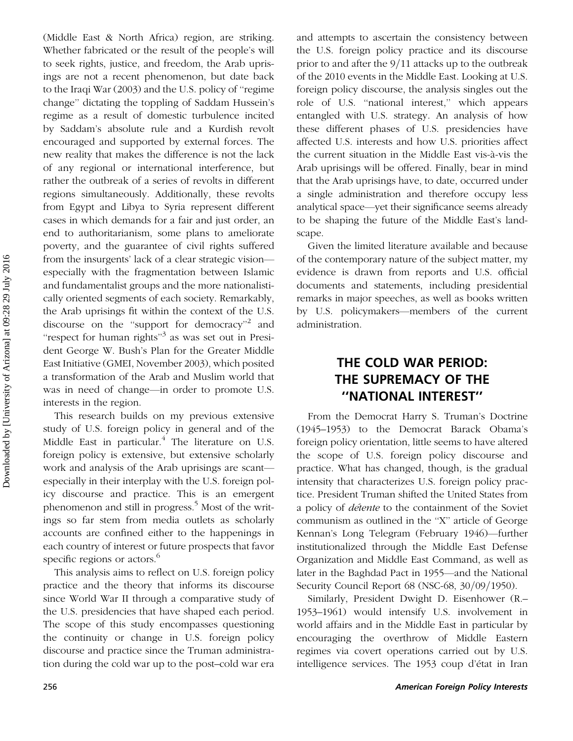(Middle East & North Africa) region, are striking. Whether fabricated or the result of the people's will to seek rights, justice, and freedom, the Arab uprisings are not a recent phenomenon, but date back to the Iraqi War (2003) and the U.S. policy of ''regime change'' dictating the toppling of Saddam Hussein's regime as a result of domestic turbulence incited by Saddam's absolute rule and a Kurdish revolt encouraged and supported by external forces. The new reality that makes the difference is not the lack of any regional or international interference, but rather the outbreak of a series of revolts in different regions simultaneously. Additionally, these revolts from Egypt and Libya to Syria represent different cases in which demands for a fair and just order, an end to authoritarianism, some plans to ameliorate poverty, and the guarantee of civil rights suffered from the insurgents' lack of a clear strategic vision especially with the fragmentation between Islamic and fundamentalist groups and the more nationalistically oriented segments of each society. Remarkably, the Arab uprisings fit within the context of the U.S. discourse on the "support for democracy"<sup>2</sup> and "respect for human rights"<sup>3</sup> as was set out in President George W. Bush's Plan for the Greater Middle East Initiative (GMEI, November 2003), which posited a transformation of the Arab and Muslim world that was in need of change—in order to promote U.S. interests in the region.

This research builds on my previous extensive study of U.S. foreign policy in general and of the Middle East in particular.<sup>4</sup> The literature on U.S. foreign policy is extensive, but extensive scholarly work and analysis of the Arab uprisings are scant especially in their interplay with the U.S. foreign policy discourse and practice. This is an emergent phenomenon and still in progress.<sup>5</sup> Most of the writings so far stem from media outlets as scholarly accounts are confined either to the happenings in each country of interest or future prospects that favor specific regions or actors.<sup>6</sup>

This analysis aims to reflect on U.S. foreign policy practice and the theory that informs its discourse since World War II through a comparative study of the U.S. presidencies that have shaped each period. The scope of this study encompasses questioning the continuity or change in U.S. foreign policy discourse and practice since the Truman administration during the cold war up to the post–cold war era

and attempts to ascertain the consistency between the U.S. foreign policy practice and its discourse prior to and after the  $9/11$  attacks up to the outbreak of the 2010 events in the Middle East. Looking at U.S. foreign policy discourse, the analysis singles out the role of U.S. ''national interest,'' which appears entangled with U.S. strategy. An analysis of how these different phases of U.S. presidencies have affected U.S. interests and how U.S. priorities affect the current situation in the Middle East vis-à-vis the Arab uprisings will be offered. Finally, bear in mind that the Arab uprisings have, to date, occurred under a single administration and therefore occupy less analytical space—yet their significance seems already to be shaping the future of the Middle East's landscape.

Given the limited literature available and because of the contemporary nature of the subject matter, my evidence is drawn from reports and U.S. official documents and statements, including presidential remarks in major speeches, as well as books written by U.S. policymakers—members of the current administration.

### THE COLD WAR PERIOD: THE SUPREMACY OF THE ''NATIONAL INTEREST''

From the Democrat Harry S. Truman's Doctrine (1945–1953) to the Democrat Barack Obama's foreign policy orientation, little seems to have altered the scope of U.S. foreign policy discourse and practice. What has changed, though, is the gradual intensity that characterizes U.S. foreign policy practice. President Truman shifted the United States from a policy of *détente* to the containment of the Soviet communism as outlined in the ''X'' article of George Kennan's Long Telegram (February 1946)—further institutionalized through the Middle East Defense Organization and Middle East Command, as well as later in the Baghdad Pact in 1955—and the National Security Council Report 68 (NSC-68, 30/09/1950).

Similarly, President Dwight D. Eisenhower (R.– 1953–1961) would intensify U.S. involvement in world affairs and in the Middle East in particular by encouraging the overthrow of Middle Eastern regimes via covert operations carried out by U.S. intelligence services. The 1953 coup d'état in Iran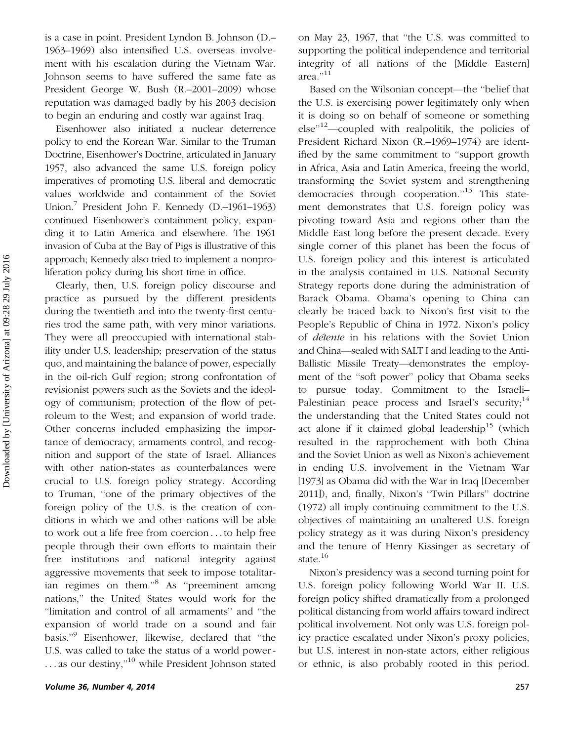is a case in point. President Lyndon B. Johnson (D.– 1963–1969) also intensified U.S. overseas involvement with his escalation during the Vietnam War. Johnson seems to have suffered the same fate as President George W. Bush (R.–2001–2009) whose reputation was damaged badly by his 2003 decision to begin an enduring and costly war against Iraq.

Eisenhower also initiated a nuclear deterrence policy to end the Korean War. Similar to the Truman Doctrine, Eisenhower's Doctrine, articulated in January 1957, also advanced the same U.S. foreign policy imperatives of promoting U.S. liberal and democratic values worldwide and containment of the Soviet Union.7 President John F. Kennedy (D.–1961–1963) continued Eisenhower's containment policy, expanding it to Latin America and elsewhere. The 1961 invasion of Cuba at the Bay of Pigs is illustrative of this approach; Kennedy also tried to implement a nonproliferation policy during his short time in office.

Clearly, then, U.S. foreign policy discourse and practice as pursued by the different presidents during the twentieth and into the twenty-first centuries trod the same path, with very minor variations. They were all preoccupied with international stability under U.S. leadership; preservation of the status quo, and maintaining the balance of power, especially in the oil-rich Gulf region; strong confrontation of revisionist powers such as the Soviets and the ideology of communism; protection of the flow of petroleum to the West; and expansion of world trade. Other concerns included emphasizing the importance of democracy, armaments control, and recognition and support of the state of Israel. Alliances with other nation-states as counterbalances were crucial to U.S. foreign policy strategy. According to Truman, ''one of the primary objectives of the foreign policy of the U.S. is the creation of conditions in which we and other nations will be able to work out a life free from coercion ... to help free people through their own efforts to maintain their free institutions and national integrity against aggressive movements that seek to impose totalitarian regimes on them."<sup>8</sup> As "preeminent among nations,'' the United States would work for the ''limitation and control of all armaments'' and ''the expansion of world trade on a sound and fair basis.''9 Eisenhower, likewise, declared that ''the U.S. was called to take the status of a world power - ... as our destiny,"<sup>10</sup> while President Johnson stated

on May 23, 1967, that ''the U.S. was committed to supporting the political independence and territorial integrity of all nations of the [Middle Eastern] area."<sup>11</sup>

Based on the Wilsonian concept—the ''belief that the U.S. is exercising power legitimately only when it is doing so on behalf of someone or something  $else''<sup>12</sup>$ -coupled with realpolitik, the policies of President Richard Nixon (R.–1969–1974) are identified by the same commitment to ''support growth in Africa, Asia and Latin America, freeing the world, transforming the Soviet system and strengthening democracies through cooperation."<sup>13</sup> This statement demonstrates that U.S. foreign policy was pivoting toward Asia and regions other than the Middle East long before the present decade. Every single corner of this planet has been the focus of U.S. foreign policy and this interest is articulated in the analysis contained in U.S. National Security Strategy reports done during the administration of Barack Obama. Obama's opening to China can clearly be traced back to Nixon's first visit to the People's Republic of China in 1972. Nixon's policy of *détente* in his relations with the Soviet Union and China—sealed with SALT I and leading to the Anti-Ballistic Missile Treaty—demonstrates the employment of the ''soft power'' policy that Obama seeks to pursue today. Commitment to the Israeli– Palestinian peace process and Israel's security;  $14$ the understanding that the United States could not act alone if it claimed global leadership<sup>15</sup> (which resulted in the rapprochement with both China and the Soviet Union as well as Nixon's achievement in ending U.S. involvement in the Vietnam War [1973] as Obama did with the War in Iraq [December 2011]), and, finally, Nixon's ''Twin Pillars'' doctrine (1972) all imply continuing commitment to the U.S. objectives of maintaining an unaltered U.S. foreign policy strategy as it was during Nixon's presidency and the tenure of Henry Kissinger as secretary of state.<sup>16</sup>

Nixon's presidency was a second turning point for U.S. foreign policy following World War II. U.S. foreign policy shifted dramatically from a prolonged political distancing from world affairs toward indirect political involvement. Not only was U.S. foreign policy practice escalated under Nixon's proxy policies, but U.S. interest in non-state actors, either religious or ethnic, is also probably rooted in this period.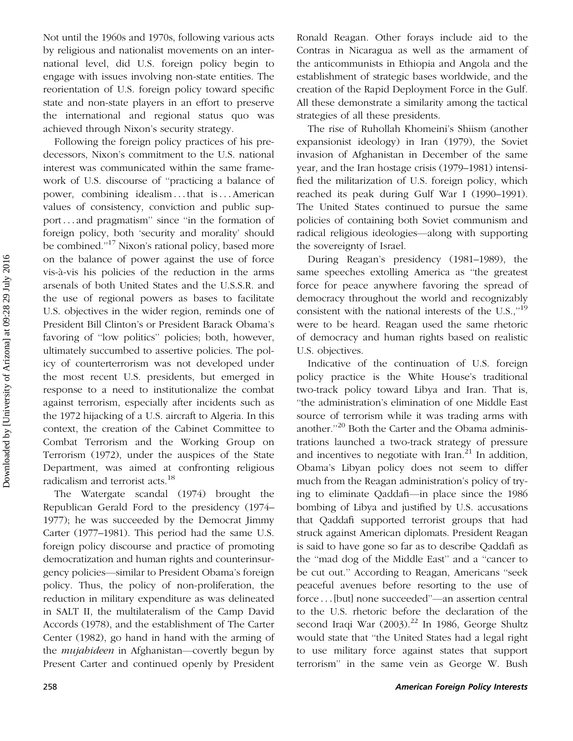Not until the 1960s and 1970s, following various acts by religious and nationalist movements on an international level, did U.S. foreign policy begin to engage with issues involving non-state entities. The reorientation of U.S. foreign policy toward specific state and non-state players in an effort to preserve the international and regional status quo was achieved through Nixon's security strategy.

Following the foreign policy practices of his predecessors, Nixon's commitment to the U.S. national interest was communicated within the same framework of U.S. discourse of ''practicing a balance of power, combining idealism ... that is... American values of consistency, conviction and public support ... and pragmatism'' since ''in the formation of foreign policy, both 'security and morality' should be combined.''17 Nixon's rational policy, based more on the balance of power against the use of force vis-a`-vis his policies of the reduction in the arms arsenals of both United States and the U.S.S.R. and the use of regional powers as bases to facilitate U.S. objectives in the wider region, reminds one of President Bill Clinton's or President Barack Obama's favoring of ''low politics'' policies; both, however, ultimately succumbed to assertive policies. The policy of counterterrorism was not developed under the most recent U.S. presidents, but emerged in response to a need to institutionalize the combat against terrorism, especially after incidents such as the 1972 hijacking of a U.S. aircraft to Algeria. In this context, the creation of the Cabinet Committee to Combat Terrorism and the Working Group on Terrorism (1972), under the auspices of the State Department, was aimed at confronting religious radicalism and terrorist acts.18

The Watergate scandal (1974) brought the Republican Gerald Ford to the presidency (1974– 1977); he was succeeded by the Democrat Jimmy Carter (1977–1981). This period had the same U.S. foreign policy discourse and practice of promoting democratization and human rights and counterinsurgency policies—similar to President Obama's foreign policy. Thus, the policy of non-proliferation, the reduction in military expenditure as was delineated in SALT II, the multilateralism of the Camp David Accords (1978), and the establishment of The Carter Center (1982), go hand in hand with the arming of the mujahideen in Afghanistan—covertly begun by Present Carter and continued openly by President Ronald Reagan. Other forays include aid to the Contras in Nicaragua as well as the armament of the anticommunists in Ethiopia and Angola and the establishment of strategic bases worldwide, and the creation of the Rapid Deployment Force in the Gulf. All these demonstrate a similarity among the tactical strategies of all these presidents.

The rise of Ruhollah Khomeini's Shiism (another expansionist ideology) in Iran (1979), the Soviet invasion of Afghanistan in December of the same year, and the Iran hostage crisis (1979–1981) intensified the militarization of U.S. foreign policy, which reached its peak during Gulf War I (1990–1991). The United States continued to pursue the same policies of containing both Soviet communism and radical religious ideologies—along with supporting the sovereignty of Israel.

During Reagan's presidency (1981–1989), the same speeches extolling America as ''the greatest force for peace anywhere favoring the spread of democracy throughout the world and recognizably consistent with the national interests of the U.S.,''19 were to be heard. Reagan used the same rhetoric of democracy and human rights based on realistic U.S. objectives.

Indicative of the continuation of U.S. foreign policy practice is the White House's traditional two-track policy toward Libya and Iran. That is, ''the administration's elimination of one Middle East source of terrorism while it was trading arms with another."<sup>20</sup> Both the Carter and the Obama administrations launched a two-track strategy of pressure and incentives to negotiate with Iran. $21$  In addition, Obama's Libyan policy does not seem to differ much from the Reagan administration's policy of trying to eliminate Qaddafi—in place since the 1986 bombing of Libya and justified by U.S. accusations that Qaddafi supported terrorist groups that had struck against American diplomats. President Reagan is said to have gone so far as to describe Qaddafi as the ''mad dog of the Middle East'' and a ''cancer to be cut out.'' According to Reagan, Americans ''seek peaceful avenues before resorting to the use of force ... [but] none succeeded''—an assertion central to the U.S. rhetoric before the declaration of the second Iraqi War (2003).<sup>22</sup> In 1986, George Shultz would state that ''the United States had a legal right to use military force against states that support terrorism'' in the same vein as George W. Bush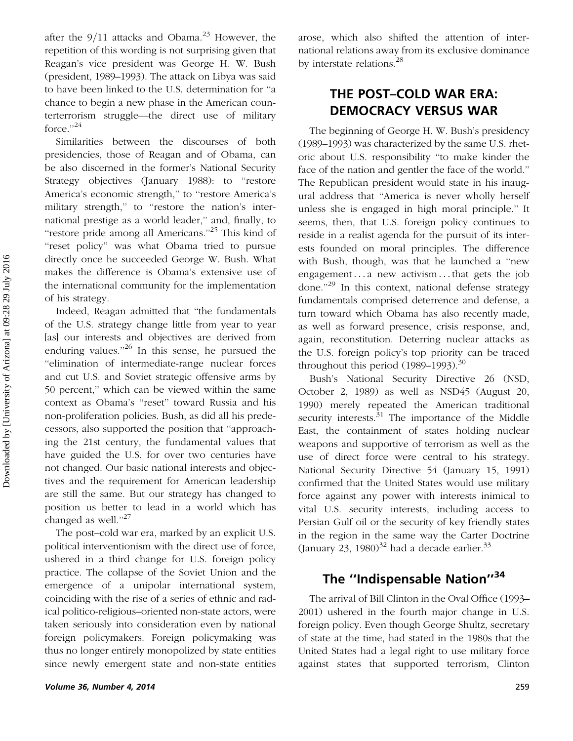after the  $9/11$  attacks and Obama.<sup>23</sup> However, the repetition of this wording is not surprising given that Reagan's vice president was George H. W. Bush (president, 1989–1993). The attack on Libya was said to have been linked to the U.S. determination for ''a chance to begin a new phase in the American counterterrorism struggle—the direct use of military force." $^{24}$ 

Similarities between the discourses of both presidencies, those of Reagan and of Obama, can be also discerned in the former's National Security Strategy objectives (January 1988): to ''restore America's economic strength,'' to ''restore America's military strength,'' to ''restore the nation's international prestige as a world leader,'' and, finally, to "restore pride among all Americans."<sup>25</sup> This kind of "reset policy" was what Obama tried to pursue directly once he succeeded George W. Bush. What makes the difference is Obama's extensive use of the international community for the implementation of his strategy.

Indeed, Reagan admitted that ''the fundamentals of the U.S. strategy change little from year to year [as] our interests and objectives are derived from enduring values." $26$  In this sense, he pursued the ''elimination of intermediate-range nuclear forces and cut U.S. and Soviet strategic offensive arms by 50 percent,'' which can be viewed within the same context as Obama's ''reset'' toward Russia and his non-proliferation policies. Bush, as did all his predecessors, also supported the position that ''approaching the 21st century, the fundamental values that have guided the U.S. for over two centuries have not changed. Our basic national interests and objectives and the requirement for American leadership are still the same. But our strategy has changed to position us better to lead in a world which has changed as well."<sup>27</sup>

The post–cold war era, marked by an explicit U.S. political interventionism with the direct use of force, ushered in a third change for U.S. foreign policy practice. The collapse of the Soviet Union and the emergence of a unipolar international system, coinciding with the rise of a series of ethnic and radical politico-religious–oriented non-state actors, were taken seriously into consideration even by national foreign policymakers. Foreign policymaking was thus no longer entirely monopolized by state entities since newly emergent state and non-state entities

arose, which also shifted the attention of international relations away from its exclusive dominance by interstate relations.<sup>28</sup>

### THE POST–COLD WAR ERA: DEMOCRACY VERSUS WAR

The beginning of George H. W. Bush's presidency (1989–1993) was characterized by the same U.S. rhetoric about U.S. responsibility ''to make kinder the face of the nation and gentler the face of the world.'' The Republican president would state in his inaugural address that ''America is never wholly herself unless she is engaged in high moral principle.'' It seems, then, that U.S. foreign policy continues to reside in a realist agenda for the pursuit of its interests founded on moral principles. The difference with Bush, though, was that he launched a ''new engagement ... a new activism ... that gets the job done."<sup>29</sup> In this context, national defense strategy fundamentals comprised deterrence and defense, a turn toward which Obama has also recently made, as well as forward presence, crisis response, and, again, reconstitution. Deterring nuclear attacks as the U.S. foreign policy's top priority can be traced throughout this period  $(1989-1993).$ <sup>30</sup>

Bush's National Security Directive 26 (NSD, October 2, 1989) as well as NSD45 (August 20, 1990) merely repeated the American traditional security interests. $31$  The importance of the Middle East, the containment of states holding nuclear weapons and supportive of terrorism as well as the use of direct force were central to his strategy. National Security Directive 54 (January 15, 1991) confirmed that the United States would use military force against any power with interests inimical to vital U.S. security interests, including access to Persian Gulf oil or the security of key friendly states in the region in the same way the Carter Doctrine (January 23, 1980)<sup>32</sup> had a decade earlier.<sup>33</sup>

# The "Indispensable Nation"<sup>34</sup>

The arrival of Bill Clinton in the Oval Office (1993*–* 2001) ushered in the fourth major change in U.S. foreign policy. Even though George Shultz, secretary of state at the time, had stated in the 1980s that the United States had a legal right to use military force against states that supported terrorism, Clinton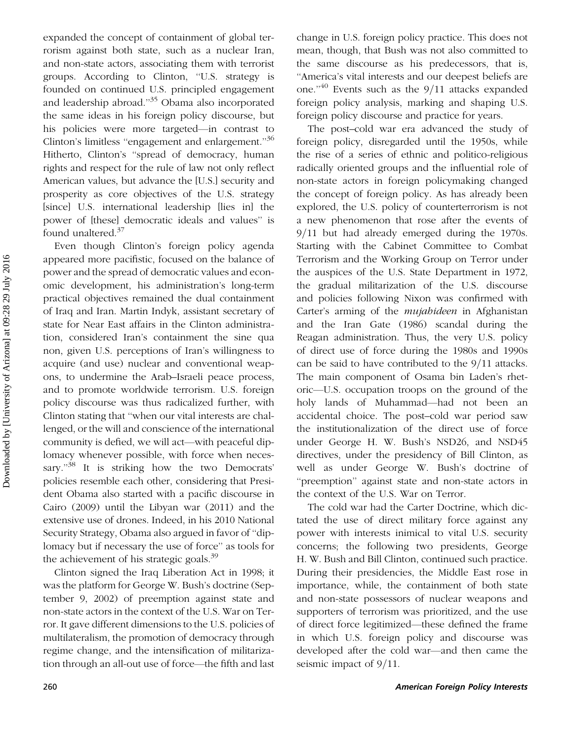expanded the concept of containment of global terrorism against both state, such as a nuclear Iran, and non-state actors, associating them with terrorist groups. According to Clinton, ''U.S. strategy is founded on continued U.S. principled engagement and leadership abroad."<sup>35</sup> Obama also incorporated the same ideas in his foreign policy discourse, but his policies were more targeted—in contrast to Clinton's limitless "engagement and enlargement."<sup>36</sup> Hitherto, Clinton's ''spread of democracy, human rights and respect for the rule of law not only reflect American values, but advance the [U.S.] security and prosperity as core objectives of the U.S. strategy [since] U.S. international leadership [lies in] the power of [these] democratic ideals and values'' is found unaltered.<sup>37</sup>

Even though Clinton's foreign policy agenda appeared more pacifistic, focused on the balance of power and the spread of democratic values and economic development, his administration's long-term practical objectives remained the dual containment of Iraq and Iran. Martin Indyk, assistant secretary of state for Near East affairs in the Clinton administration, considered Iran's containment the sine qua non, given U.S. perceptions of Iran's willingness to acquire (and use) nuclear and conventional weapons, to undermine the Arab–Israeli peace process, and to promote worldwide terrorism. U.S. foreign policy discourse was thus radicalized further, with Clinton stating that ''when our vital interests are challenged, or the will and conscience of the international community is defied, we will act—with peaceful diplomacy whenever possible, with force when necessary."<sup>38</sup> It is striking how the two Democrats' policies resemble each other, considering that President Obama also started with a pacific discourse in Cairo (2009) until the Libyan war (2011) and the extensive use of drones. Indeed, in his 2010 National Security Strategy, Obama also argued in favor of ''diplomacy but if necessary the use of force'' as tools for the achievement of his strategic goals.<sup>39</sup>

Clinton signed the Iraq Liberation Act in 1998; it was the platform for George W. Bush's doctrine (September 9, 2002) of preemption against state and non-state actors in the context of the U.S. War on Terror. It gave different dimensions to the U.S. policies of multilateralism, the promotion of democracy through regime change, and the intensification of militarization through an all-out use of force—the fifth and last

change in U.S. foreign policy practice. This does not mean, though, that Bush was not also committed to the same discourse as his predecessors, that is, ''America's vital interests and our deepest beliefs are one."<sup>40</sup> Events such as the  $9/11$  attacks expanded foreign policy analysis, marking and shaping U.S. foreign policy discourse and practice for years.

The post–cold war era advanced the study of foreign policy, disregarded until the 1950s, while the rise of a series of ethnic and politico-religious radically oriented groups and the influential role of non-state actors in foreign policymaking changed the concept of foreign policy. As has already been explored, the U.S. policy of counterterrorism is not a new phenomenon that rose after the events of  $9/11$  but had already emerged during the 1970s. Starting with the Cabinet Committee to Combat Terrorism and the Working Group on Terror under the auspices of the U.S. State Department in 1972, the gradual militarization of the U.S. discourse and policies following Nixon was confirmed with Carter's arming of the mujahideen in Afghanistan and the Iran Gate (1986) scandal during the Reagan administration. Thus, the very U.S. policy of direct use of force during the 1980s and 1990s can be said to have contributed to the  $9/11$  attacks. The main component of Osama bin Laden's rhetoric—U.S. occupation troops on the ground of the holy lands of Muhammad—had not been an accidental choice. The post–cold war period saw the institutionalization of the direct use of force under George H. W. Bush's NSD26, and NSD45 directives, under the presidency of Bill Clinton, as well as under George W. Bush's doctrine of ''preemption'' against state and non-state actors in the context of the U.S. War on Terror.

The cold war had the Carter Doctrine, which dictated the use of direct military force against any power with interests inimical to vital U.S. security concerns; the following two presidents, George H. W. Bush and Bill Clinton, continued such practice. During their presidencies, the Middle East rose in importance, while, the containment of both state and non-state possessors of nuclear weapons and supporters of terrorism was prioritized, and the use of direct force legitimized—these defined the frame in which U.S. foreign policy and discourse was developed after the cold war—and then came the seismic impact of  $9/11$ .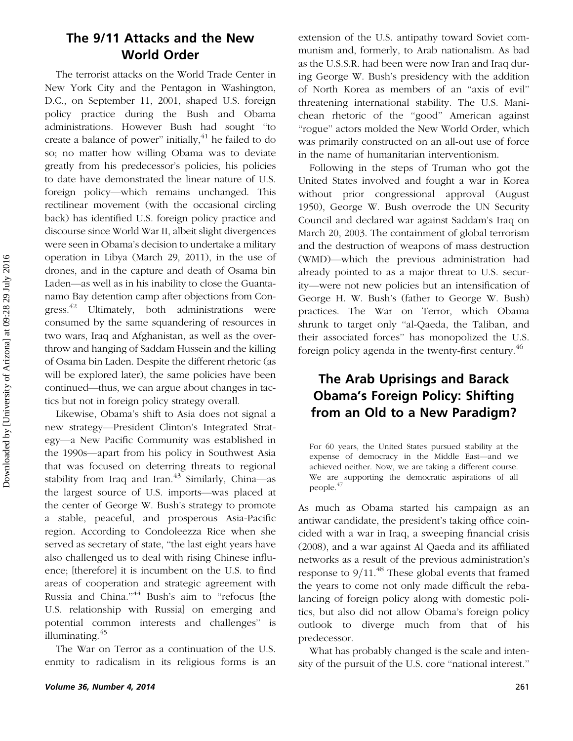### The 9/11 Attacks and the New World Order

The terrorist attacks on the World Trade Center in New York City and the Pentagon in Washington, D.C., on September 11, 2001, shaped U.S. foreign policy practice during the Bush and Obama administrations. However Bush had sought ''to create a balance of power" initially, $^{41}$  he failed to do so; no matter how willing Obama was to deviate greatly from his predecessor's policies, his policies to date have demonstrated the linear nature of U.S. foreign policy—which remains unchanged. This rectilinear movement (with the occasional circling back) has identified U.S. foreign policy practice and discourse since World War II, albeit slight divergences were seen in Obama's decision to undertake a military operation in Libya (March 29, 2011), in the use of drones, and in the capture and death of Osama bin Laden—as well as in his inability to close the Guantanamo Bay detention camp after objections from Congress.42 Ultimately, both administrations were consumed by the same squandering of resources in two wars, Iraq and Afghanistan, as well as the overthrow and hanging of Saddam Hussein and the killing of Osama bin Laden. Despite the different rhetoric (as will be explored later), the same policies have been continued—thus, we can argue about changes in tactics but not in foreign policy strategy overall.

Likewise, Obama's shift to Asia does not signal a new strategy—President Clinton's Integrated Strategy—a New Pacific Community was established in the 1990s—apart from his policy in Southwest Asia that was focused on deterring threats to regional stability from Iraq and Iran. $43$  Similarly, China-as the largest source of U.S. imports—was placed at the center of George W. Bush's strategy to promote a stable, peaceful, and prosperous Asia-Pacific region. According to Condoleezza Rice when she served as secretary of state, ''the last eight years have also challenged us to deal with rising Chinese influence; [therefore] it is incumbent on the U.S. to find areas of cooperation and strategic agreement with Russia and China."<sup>44</sup> Bush's aim to "refocus [the U.S. relationship with Russia] on emerging and potential common interests and challenges'' is illuminating.<sup>45</sup>

The War on Terror as a continuation of the U.S. enmity to radicalism in its religious forms is an extension of the U.S. antipathy toward Soviet communism and, formerly, to Arab nationalism. As bad as the U.S.S.R. had been were now Iran and Iraq during George W. Bush's presidency with the addition of North Korea as members of an ''axis of evil'' threatening international stability. The U.S. Manichean rhetoric of the ''good'' American against ''rogue'' actors molded the New World Order, which was primarily constructed on an all-out use of force in the name of humanitarian interventionism.

Following in the steps of Truman who got the United States involved and fought a war in Korea without prior congressional approval (August 1950), George W. Bush overrode the UN Security Council and declared war against Saddam's Iraq on March 20, 2003. The containment of global terrorism and the destruction of weapons of mass destruction (WMD)—which the previous administration had already pointed to as a major threat to U.S. security—were not new policies but an intensification of George H. W. Bush's (father to George W. Bush) practices. The War on Terror, which Obama shrunk to target only ''al-Qaeda, the Taliban, and their associated forces'' has monopolized the U.S. foreign policy agenda in the twenty-first century.<sup>46</sup>

## The Arab Uprisings and Barack Obama's Foreign Policy: Shifting from an Old to a New Paradigm?

For 60 years, the United States pursued stability at the expense of democracy in the Middle East—and we achieved neither. Now, we are taking a different course. We are supporting the democratic aspirations of all people.<sup>47</sup>

As much as Obama started his campaign as an antiwar candidate, the president's taking office coincided with a war in Iraq, a sweeping financial crisis (2008), and a war against Al Qaeda and its affiliated networks as a result of the previous administration's response to  $9/11<sup>48</sup>$  These global events that framed the years to come not only made difficult the rebalancing of foreign policy along with domestic politics, but also did not allow Obama's foreign policy outlook to diverge much from that of his predecessor.

What has probably changed is the scale and intensity of the pursuit of the U.S. core ''national interest.''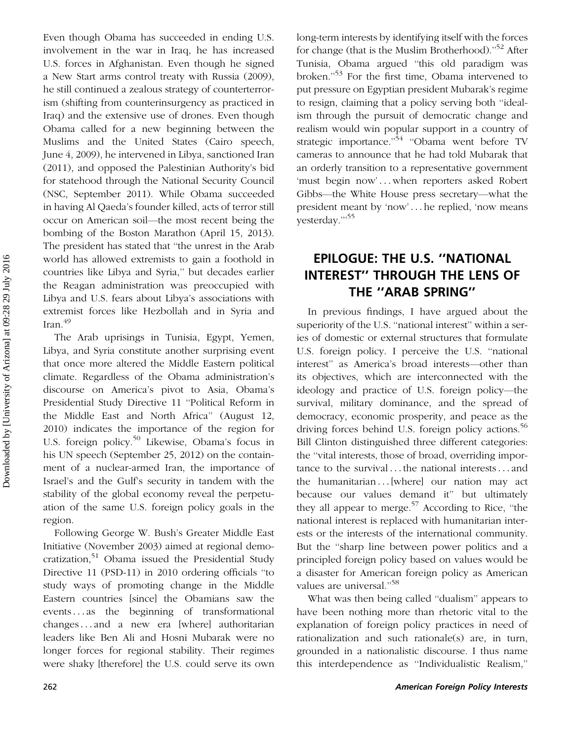Even though Obama has succeeded in ending U.S. involvement in the war in Iraq, he has increased U.S. forces in Afghanistan. Even though he signed a New Start arms control treaty with Russia (2009), he still continued a zealous strategy of counterterrorism (shifting from counterinsurgency as practiced in Iraq) and the extensive use of drones. Even though Obama called for a new beginning between the Muslims and the United States (Cairo speech, June 4, 2009), he intervened in Libya, sanctioned Iran (2011), and opposed the Palestinian Authority's bid for statehood through the National Security Council (NSC, September 2011). While Obama succeeded in having Al Qaeda's founder killed, acts of terror still occur on American soil—the most recent being the bombing of the Boston Marathon (April 15, 2013). The president has stated that ''the unrest in the Arab world has allowed extremists to gain a foothold in countries like Libya and Syria,'' but decades earlier the Reagan administration was preoccupied with Libya and U.S. fears about Libya's associations with extremist forces like Hezbollah and in Syria and Iran. $49$ 

The Arab uprisings in Tunisia, Egypt, Yemen, Libya, and Syria constitute another surprising event that once more altered the Middle Eastern political climate. Regardless of the Obama administration's discourse on America's pivot to Asia, Obama's Presidential Study Directive 11 ''Political Reform in the Middle East and North Africa'' (August 12, 2010) indicates the importance of the region for U.S. foreign policy.50 Likewise, Obama's focus in his UN speech (September 25, 2012) on the containment of a nuclear-armed Iran, the importance of Israel's and the Gulf's security in tandem with the stability of the global economy reveal the perpetuation of the same U.S. foreign policy goals in the region.

Following George W. Bush's Greater Middle East Initiative (November 2003) aimed at regional democratization,<sup>51</sup> Obama issued the Presidential Study Directive 11 (PSD-11) in 2010 ordering officials ''to study ways of promoting change in the Middle Eastern countries [since] the Obamians saw the events... as the beginning of transformational changes... and a new era [where] authoritarian leaders like Ben Ali and Hosni Mubarak were no longer forces for regional stability. Their regimes were shaky [therefore] the U.S. could serve its own long-term interests by identifying itself with the forces for change (that is the Muslim Brotherhood)."<sup>52</sup> After Tunisia, Obama argued ''this old paradigm was broken."<sup>53</sup> For the first time, Obama intervened to put pressure on Egyptian president Mubarak's regime to resign, claiming that a policy serving both ''idealism through the pursuit of democratic change and realism would win popular support in a country of strategic importance."<sup>54</sup> "Obama went before TV cameras to announce that he had told Mubarak that an orderly transition to a representative government 'must begin now' ... when reporters asked Robert Gibbs—the White House press secretary—what the president meant by 'now' ... he replied, 'now means yesterday."<sup>55</sup>

### EPILOGUE: THE U.S. ''NATIONAL INTEREST'' THROUGH THE LENS OF THE ''ARAB SPRING''

In previous findings, I have argued about the superiority of the U.S. "national interest" within a series of domestic or external structures that formulate U.S. foreign policy. I perceive the U.S. ''national interest'' as America's broad interests—other than its objectives, which are interconnected with the ideology and practice of U.S. foreign policy—the survival, military dominance, and the spread of democracy, economic prosperity, and peace as the driving forces behind U.S. foreign policy actions.<sup>56</sup> Bill Clinton distinguished three different categories: the ''vital interests, those of broad, overriding importance to the survival ... the national interests... and the humanitarian ... [where] our nation may act because our values demand it'' but ultimately they all appear to merge.<sup>57</sup> According to Rice, "the national interest is replaced with humanitarian interests or the interests of the international community. But the ''sharp line between power politics and a principled foreign policy based on values would be a disaster for American foreign policy as American values are universal."<sup>58</sup>

What was then being called ''dualism'' appears to have been nothing more than rhetoric vital to the explanation of foreign policy practices in need of rationalization and such rationale(s) are, in turn, grounded in a nationalistic discourse. I thus name this interdependence as ''Individualistic Realism,''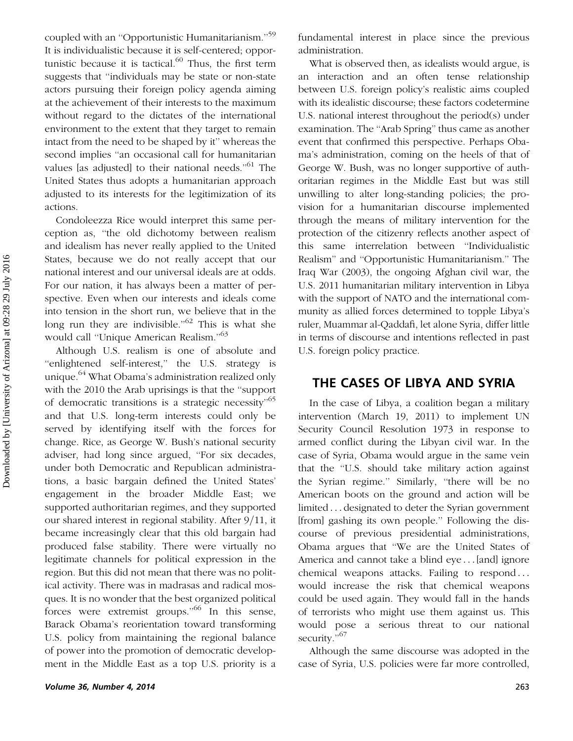coupled with an ''Opportunistic Humanitarianism.''<sup>59</sup> It is individualistic because it is self-centered; opportunistic because it is tactical. $60$  Thus, the first term suggests that ''individuals may be state or non-state actors pursuing their foreign policy agenda aiming at the achievement of their interests to the maximum without regard to the dictates of the international environment to the extent that they target to remain intact from the need to be shaped by it'' whereas the second implies ''an occasional call for humanitarian values [as adjusted] to their national needs. $1/61$  The United States thus adopts a humanitarian approach adjusted to its interests for the legitimization of its actions.

Condoleezza Rice would interpret this same perception as, ''the old dichotomy between realism and idealism has never really applied to the United States, because we do not really accept that our national interest and our universal ideals are at odds. For our nation, it has always been a matter of perspective. Even when our interests and ideals come into tension in the short run, we believe that in the long run they are indivisible."<sup>62</sup> This is what she would call "Unique American Realism."<sup>63</sup>

Although U.S. realism is one of absolute and "enlightened self-interest," the U.S. strategy is unique.<sup>64</sup> What Obama's administration realized only with the 2010 the Arab uprisings is that the ''support of democratic transitions is a strategic necessity''65 and that U.S. long-term interests could only be served by identifying itself with the forces for change. Rice, as George W. Bush's national security adviser, had long since argued, ''For six decades, under both Democratic and Republican administrations, a basic bargain defined the United States' engagement in the broader Middle East; we supported authoritarian regimes, and they supported our shared interest in regional stability. After  $9/11$ , it became increasingly clear that this old bargain had produced false stability. There were virtually no legitimate channels for political expression in the region. But this did not mean that there was no political activity. There was in madrasas and radical mosques. It is no wonder that the best organized political forces were extremist groups."<sup>66</sup> In this sense, Barack Obama's reorientation toward transforming U.S. policy from maintaining the regional balance of power into the promotion of democratic development in the Middle East as a top U.S. priority is a

fundamental interest in place since the previous administration.

What is observed then, as idealists would argue, is an interaction and an often tense relationship between U.S. foreign policy's realistic aims coupled with its idealistic discourse; these factors codetermine U.S. national interest throughout the period(s) under examination. The ''Arab Spring'' thus came as another event that confirmed this perspective. Perhaps Obama's administration, coming on the heels of that of George W. Bush, was no longer supportive of authoritarian regimes in the Middle East but was still unwilling to alter long-standing policies; the provision for a humanitarian discourse implemented through the means of military intervention for the protection of the citizenry reflects another aspect of this same interrelation between ''Individualistic Realism'' and ''Opportunistic Humanitarianism.'' The Iraq War (2003), the ongoing Afghan civil war, the U.S. 2011 humanitarian military intervention in Libya with the support of NATO and the international community as allied forces determined to topple Libya's ruler, Muammar al-Qaddafi, let alone Syria, differ little in terms of discourse and intentions reflected in past U.S. foreign policy practice.

### THE CASES OF LIBYA AND SYRIA

In the case of Libya, a coalition began a military intervention (March 19, 2011) to implement UN Security Council Resolution 1973 in response to armed conflict during the Libyan civil war. In the case of Syria, Obama would argue in the same vein that the ''U.S. should take military action against the Syrian regime.'' Similarly, ''there will be no American boots on the ground and action will be limited ... designated to deter the Syrian government [from] gashing its own people.'' Following the discourse of previous presidential administrations, Obama argues that ''We are the United States of America and cannot take a blind eye ... [and] ignore chemical weapons attacks. Failing to respond... would increase the risk that chemical weapons could be used again. They would fall in the hands of terrorists who might use them against us. This would pose a serious threat to our national security."<sup>67</sup>

Although the same discourse was adopted in the case of Syria, U.S. policies were far more controlled,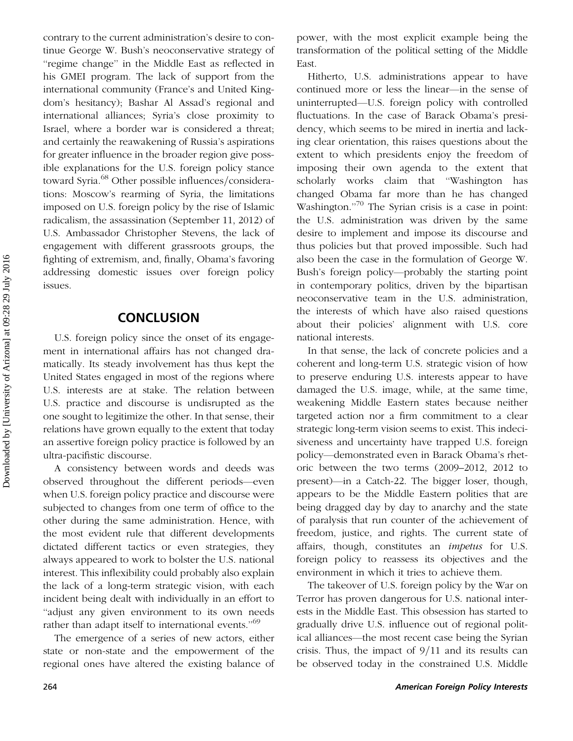contrary to the current administration's desire to continue George W. Bush's neoconservative strategy of ''regime change'' in the Middle East as reflected in his GMEI program. The lack of support from the international community (France's and United Kingdom's hesitancy); Bashar Al Assad's regional and international alliances; Syria's close proximity to Israel, where a border war is considered a threat; and certainly the reawakening of Russia's aspirations for greater influence in the broader region give possible explanations for the U.S. foreign policy stance toward Syria.<sup>68</sup> Other possible influences/considerations: Moscow's rearming of Syria, the limitations imposed on U.S. foreign policy by the rise of Islamic radicalism, the assassination (September 11, 2012) of U.S. Ambassador Christopher Stevens, the lack of engagement with different grassroots groups, the fighting of extremism, and, finally, Obama's favoring addressing domestic issues over foreign policy issues.

#### **CONCLUSION**

U.S. foreign policy since the onset of its engagement in international affairs has not changed dramatically. Its steady involvement has thus kept the United States engaged in most of the regions where U.S. interests are at stake. The relation between U.S. practice and discourse is undisrupted as the one sought to legitimize the other. In that sense, their relations have grown equally to the extent that today an assertive foreign policy practice is followed by an ultra-pacifistic discourse.

A consistency between words and deeds was observed throughout the different periods—even when U.S. foreign policy practice and discourse were subjected to changes from one term of office to the other during the same administration. Hence, with the most evident rule that different developments dictated different tactics or even strategies, they always appeared to work to bolster the U.S. national interest. This inflexibility could probably also explain the lack of a long-term strategic vision, with each incident being dealt with individually in an effort to "adjust any given environment to its own needs rather than adapt itself to international events."<sup>69</sup>

The emergence of a series of new actors, either state or non-state and the empowerment of the regional ones have altered the existing balance of power, with the most explicit example being the transformation of the political setting of the Middle East.

Hitherto, U.S. administrations appear to have continued more or less the linear—in the sense of uninterrupted—U.S. foreign policy with controlled fluctuations. In the case of Barack Obama's presidency, which seems to be mired in inertia and lacking clear orientation, this raises questions about the extent to which presidents enjoy the freedom of imposing their own agenda to the extent that scholarly works claim that ''Washington has changed Obama far more than he has changed Washington. $170$  The Syrian crisis is a case in point: the U.S. administration was driven by the same desire to implement and impose its discourse and thus policies but that proved impossible. Such had also been the case in the formulation of George W. Bush's foreign policy—probably the starting point in contemporary politics, driven by the bipartisan neoconservative team in the U.S. administration, the interests of which have also raised questions about their policies' alignment with U.S. core national interests.

In that sense, the lack of concrete policies and a coherent and long-term U.S. strategic vision of how to preserve enduring U.S. interests appear to have damaged the U.S. image, while, at the same time, weakening Middle Eastern states because neither targeted action nor a firm commitment to a clear strategic long-term vision seems to exist. This indecisiveness and uncertainty have trapped U.S. foreign policy—demonstrated even in Barack Obama's rhetoric between the two terms (2009–2012, 2012 to present)—in a Catch-22. The bigger loser, though, appears to be the Middle Eastern polities that are being dragged day by day to anarchy and the state of paralysis that run counter of the achievement of freedom, justice, and rights. The current state of affairs, though, constitutes an impetus for U.S. foreign policy to reassess its objectives and the environment in which it tries to achieve them.

The takeover of U.S. foreign policy by the War on Terror has proven dangerous for U.S. national interests in the Middle East. This obsession has started to gradually drive U.S. influence out of regional political alliances—the most recent case being the Syrian crisis. Thus, the impact of  $9/11$  and its results can be observed today in the constrained U.S. Middle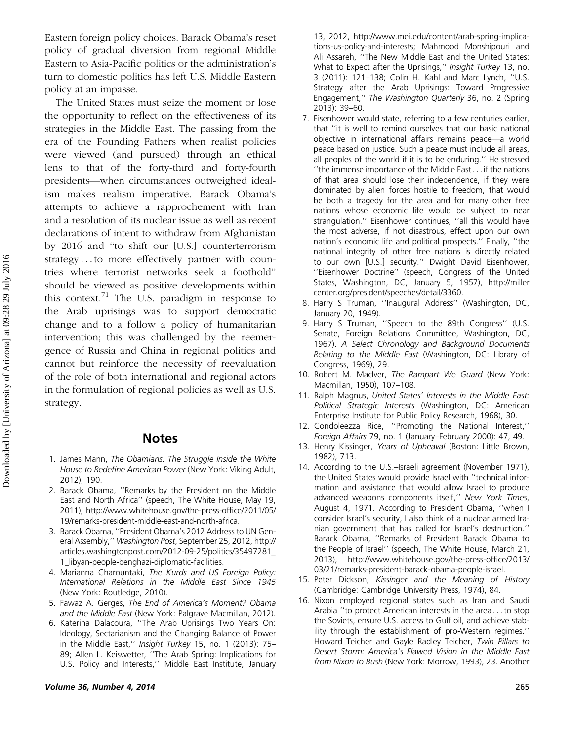The United States must seize the moment or lose the opportunity to reflect on the effectiveness of its strategies in the Middle East. The passing from the era of the Founding Fathers when realist policies were viewed (and pursued) through an ethical lens to that of the forty-third and forty-fourth presidents—when circumstances outweighed idealism makes realism imperative. Barack Obama's attempts to achieve a rapprochement with Iran and a resolution of its nuclear issue as well as recent declarations of intent to withdraw from Afghanistan by 2016 and ''to shift our [U.S.] counterterrorism strategy ... to more effectively partner with countries where terrorist networks seek a foothold'' should be viewed as positive developments within this context.<sup>71</sup> The U.S. paradigm in response to the Arab uprisings was to support democratic change and to a follow a policy of humanitarian intervention; this was challenged by the reemergence of Russia and China in regional politics and cannot but reinforce the necessity of reevaluation of the role of both international and regional actors in the formulation of regional policies as well as U.S. strategy.

#### **Notes**

- 1. James Mann, The Obamians: The Struggle Inside the White House to Redefine American Power (New York: Viking Adult, 2012), 190.
- 2. Barack Obama, ''Remarks by the President on the Middle East and North Africa'' (speech, The White House, May 19, 2011), http://www.whitehouse.gov/the-press-office/2011/05/ 19/remarks-president-middle-east-and-north-africa.
- 3. Barack Obama, ''President Obama's 2012 Address to UN General Assembly,'' Washington Post, September 25, 2012, http:// articles.washingtonpost.com/2012-09-25/politics/35497281\_ 1\_libyan-people-benghazi-diplomatic-facilities.
- 4. Marianna Charountaki, The Kurds and US Foreign Policy: International Relations in the Middle East Since 1945 (New York: Routledge, 2010).
- 5. Fawaz A. Gerges, The End of America's Moment? Obama and the Middle East (New York: Palgrave Macmillan, 2012).
- 6. Katerina Dalacoura, ''The Arab Uprisings Two Years On: Ideology, Sectarianism and the Changing Balance of Power in the Middle East,'' Insight Turkey 15, no. 1 (2013): 75– 89; Allen L. Keiswetter, ''The Arab Spring: Implications for U.S. Policy and Interests,'' Middle East Institute, January

13, 2012, http://www.mei.edu/content/arab-spring-implications-us-policy-and-interests; Mahmood Monshipouri and Ali Assareh, ''The New Middle East and the United States: What to Expect after the Uprisings,'' Insight Turkey 13, no. 3 (2011): 121–138; Colin H. Kahl and Marc Lynch, ''U.S. Strategy after the Arab Uprisings: Toward Progressive Engagement,'' The Washington Quarterly 36, no. 2 (Spring 2013): 39–60.

- 7. Eisenhower would state, referring to a few centuries earlier, that ''it is well to remind ourselves that our basic national objective in international affairs remains peace—a world peace based on justice. Such a peace must include all areas, all peoples of the world if it is to be enduring.'' He stressed ''the immense importance of the Middle East... if the nations of that area should lose their independence, if they were dominated by alien forces hostile to freedom, that would be both a tragedy for the area and for many other free nations whose economic life would be subject to near strangulation.'' Eisenhower continues, ''all this would have the most adverse, if not disastrous, effect upon our own nation's economic life and political prospects.'' Finally, ''the national integrity of other free nations is directly related to our own [U.S.] security.'' Dwight David Eisenhower, ''Eisenhower Doctrine'' (speech, Congress of the United States, Washington, DC, January 5, 1957), http://miller center.org/president/speeches/detail/3360.
- 8. Harry S Truman, ''Inaugural Address'' (Washington, DC, January 20, 1949).
- 9. Harry S Truman, ''Speech to the 89th Congress'' (U.S. Senate, Foreign Relations Committee, Washington, DC, 1967). A Select Chronology and Background Documents Relating to the Middle East (Washington, DC: Library of Congress, 1969), 29.
- 10. Robert M. MacIver, The Rampart We Guard (New York: Macmillan, 1950), 107–108.
- 11. Ralph Magnus, United States' Interests in the Middle East: Political Strategic Interests (Washington, DC: American Enterprise Institute for Public Policy Research, 1968), 30.
- 12. Condoleezza Rice, ''Promoting the National Interest,'' Foreign Affairs 79, no. 1 (January–February 2000): 47, 49.
- 13. Henry Kissinger, Years of Upheaval (Boston: Little Brown, 1982), 713.
- 14. According to the U.S.–Israeli agreement (November 1971), the United States would provide Israel with ''technical information and assistance that would allow Israel to produce advanced weapons components itself,'' New York Times, August 4, 1971. According to President Obama, ''when I consider Israel's security, I also think of a nuclear armed Iranian government that has called for Israel's destruction.'' Barack Obama, ''Remarks of President Barack Obama to the People of Israel'' (speech, The White House, March 21, 2013), http://www.whitehouse.gov/the-press-office/2013/ 03/21/remarks-president-barack-obama-people-israel.
- 15. Peter Dickson, Kissinger and the Meaning of History (Cambridge: Cambridge University Press, 1974), 84.
- 16. Nixon employed regional states such as Iran and Saudi Arabia ''to protect American interests in the area ...to stop the Soviets, ensure U.S. access to Gulf oil, and achieve stability through the establishment of pro-Western regimes.'' Howard Teicher and Gayle Radley Teicher, Twin Pillars to Desert Storm: America's Flawed Vision in the Middle East from Nixon to Bush (New York: Morrow, 1993), 23. Another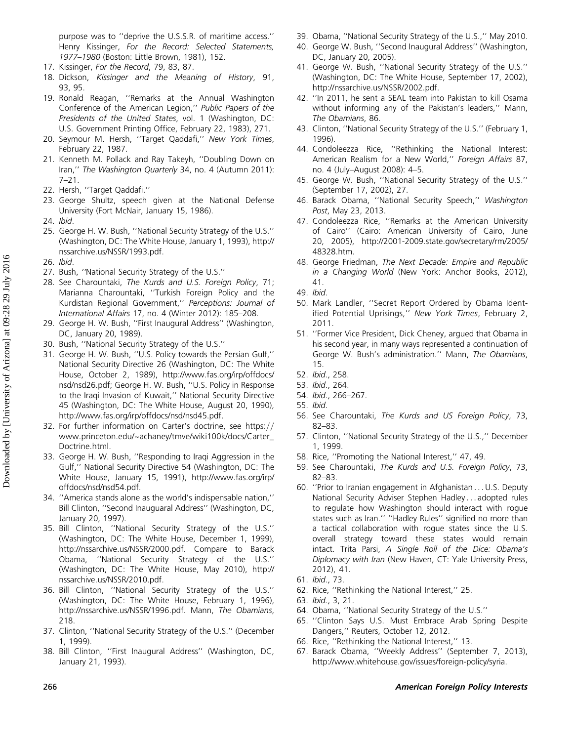purpose was to ''deprive the U.S.S.R. of maritime access.'' Henry Kissinger, For the Record: Selected Statements, 1977–1980 (Boston: Little Brown, 1981), 152.

- 17. Kissinger, For the Record, 79, 83, 87.
- 18. Dickson, Kissinger and the Meaning of History, 91, 93, 95.
- 19. Ronald Reagan, ''Remarks at the Annual Washington Conference of the American Legion,'' Public Papers of the Presidents of the United States, vol. 1 (Washington, DC: U.S. Government Printing Office, February 22, 1983), 271.
- 20. Seymour M. Hersh, ''Target Qaddafi,'' New York Times, February 22, 1987.
- 21. Kenneth M. Pollack and Ray Takeyh, ''Doubling Down on Iran,'' The Washington Quarterly 34, no. 4 (Autumn 2011): 7–21.
- 22. Hersh, ''Target Qaddafi.''
- 23. George Shultz, speech given at the National Defense University (Fort McNair, January 15, 1986).
- 24. Ibid.
- 25. George H. W. Bush, ''National Security Strategy of the U.S.'' (Washington, DC: The White House, January 1, 1993), http:// nssarchive.us/NSSR/1993.pdf.
- 26. Ibid.
- 27. Bush, ''National Security Strategy of the U.S.''
- 28. See Charountaki, The Kurds and U.S. Foreign Policy, 71; Marianna Charountaki, ''Turkish Foreign Policy and the Kurdistan Regional Government,'' Perceptions: Journal of International Affairs 17, no. 4 (Winter 2012): 185–208.
- 29. George H. W. Bush, ''First Inaugural Address'' (Washington, DC, January 20, 1989).
- 30. Bush, ''National Security Strategy of the U.S.''
- 31. George H. W. Bush, ''U.S. Policy towards the Persian Gulf,'' National Security Directive 26 (Washington, DC: The White House, October 2, 1989), http://www.fas.org/irp/offdocs/ nsd/nsd26.pdf; George H. W. Bush, ''U.S. Policy in Response to the Iraqi Invasion of Kuwait,'' National Security Directive 45 (Washington, DC: The White House, August 20, 1990), http://www.fas.org/irp/offdocs/nsd/nsd45.pdf.
- 32. For further information on Carter's doctrine, see https:// www.princeton.edu/~achaney/tmve/wiki100k/docs/Carter\_ Doctrine.html.
- 33. George H. W. Bush, ''Responding to Iraqi Aggression in the Gulf,'' National Security Directive 54 (Washington, DC: The White House, January 15, 1991), http://www.fas.org/irp/ offdocs/nsd/nsd54.pdf.
- 34. ''America stands alone as the world's indispensable nation,'' Bill Clinton, ''Second Inauguaral Address'' (Washington, DC, January 20, 1997).
- 35. Bill Clinton, ''National Security Strategy of the U.S.'' (Washington, DC: The White House, December 1, 1999), http://nssarchive.us/NSSR/2000.pdf. Compare to Barack Obama, ''National Security Strategy of the U.S.'' (Washington, DC: The White House, May 2010), http:// nssarchive.us/NSSR/2010.pdf.
- 36. Bill Clinton, ''National Security Strategy of the U.S.'' (Washington, DC: The White House, February 1, 1996), http://nssarchive.us/NSSR/1996.pdf. Mann, The Obamians, 218.
- 37. Clinton, ''National Security Strategy of the U.S.'' (December 1, 1999).
- 38. Bill Clinton, ''First Inaugural Address'' (Washington, DC, January 21, 1993).
- 39. Obama, ''National Security Strategy of the U.S.,'' May 2010.
- 40. George W. Bush, ''Second Inaugural Address'' (Washington, DC, January 20, 2005).
- 41. George W. Bush, ''National Security Strategy of the U.S.'' (Washington, DC: The White House, September 17, 2002), http://nssarchive.us/NSSR/2002.pdf.
- 42. ''In 2011, he sent a SEAL team into Pakistan to kill Osama without informing any of the Pakistan's leaders,'' Mann, The Obamians, 86.
- 43. Clinton, ''National Security Strategy of the U.S.'' (February 1, 1996).
- 44. Condoleezza Rice, ''Rethinking the National Interest: American Realism for a New World,'' Foreign Affairs 87, no. 4 (July–August 2008): 4–5.
- 45. George W. Bush, ''National Security Strategy of the U.S.'' (September 17, 2002), 27.
- 46. Barack Obama, ''National Security Speech,'' Washington Post, May 23, 2013.
- 47. Condoleezza Rice, ''Remarks at the American University of Cairo'' (Cairo: American University of Cairo, June 20, 2005), http://2001-2009.state.gov/secretary/rm/2005/ 48328.htm.
- 48. George Friedman, The Next Decade: Empire and Republic in a Changing World (New York: Anchor Books, 2012), 41.
- 49. Ibid.
- 50. Mark Landler, ''Secret Report Ordered by Obama Identified Potential Uprisings,'' New York Times, February 2, 2011.
- 51. ''Former Vice President, Dick Cheney, argued that Obama in his second year, in many ways represented a continuation of George W. Bush's administration.'' Mann, The Obamians, 15.
- 52. Ibid., 258.
- 53. Ibid., 264.
- 54. Ibid., 266–267.
- 55. Ibid.
- 56. See Charountaki, The Kurds and US Foreign Policy, 73, 82–83.
- 57. Clinton, ''National Security Strategy of the U.S.,'' December 1, 1999.
- 58. Rice, ''Promoting the National Interest,'' 47, 49.
- 59. See Charountaki, The Kurds and U.S. Foreign Policy, 73, 82–83.
- 60. ''Prior to Iranian engagement in Afghanistan ...U.S. Deputy National Security Adviser Stephen Hadley ... adopted rules to regulate how Washington should interact with rogue states such as Iran.'' ''Hadley Rules'' signified no more than a tactical collaboration with rogue states since the U.S. overall strategy toward these states would remain intact. Trita Parsi, A Single Roll of the Dice: Obama's Diplomacy with Iran (New Haven, CT: Yale University Press, 2012), 41.
- 61. Ibid., 73.
- 62. Rice, ''Rethinking the National Interest,'' 25.
- 63. Ibid., 3, 21.
- 64. Obama, ''National Security Strategy of the U.S.''
- 65. ''Clinton Says U.S. Must Embrace Arab Spring Despite Dangers,'' Reuters, October 12, 2012.
- 66. Rice, ''Rethinking the National Interest,'' 13.
- 67. Barack Obama, ''Weekly Address'' (September 7, 2013), http://www.whitehouse.gov/issues/foreign-policy/syria.